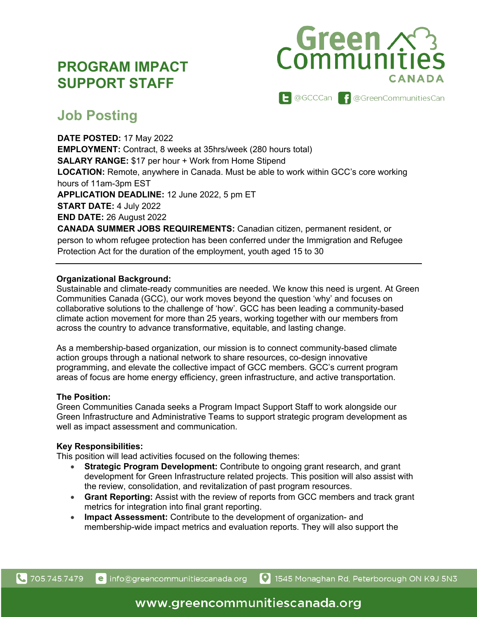# **PROGRAM IMPACT SUPPORT STAFF**



# **Job Posting**

**DATE POSTED:** 17 May 2022 **EMPLOYMENT:** Contract, 8 weeks at 35hrs/week (280 hours total) **SALARY RANGE:** \$17 per hour + Work from Home Stipend **LOCATION:** Remote, anywhere in Canada. Must be able to work within GCC's core working hours of 11am-3pm EST **APPLICATION DEADLINE:** 12 June 2022, 5 pm ET **START DATE:** 4 July 2022 **END DATE:** 26 August 2022 **CANADA SUMMER JOBS REQUIREMENTS:** Canadian citizen, permanent resident, or person to whom refugee protection has been conferred under the Immigration and Refugee

Protection Act for the duration of the employment, youth aged 15 to 30

## **Organizational Background:**

Sustainable and climate-ready communities are needed. We know this need is urgent. At Green Communities Canada (GCC), our work moves beyond the question 'why' and focuses on collaborative solutions to the challenge of 'how'. GCC has been leading a community-based climate action movement for more than 25 years, working together with our members from across the country to advance transformative, equitable, and lasting change.

As a membership-based organization, our mission is to connect community-based climate action groups through a national network to share resources, co-design innovative programming, and elevate the collective impact of GCC members. GCC's current program areas of focus are home energy efficiency, green infrastructure, and active transportation.

## **The Position:**

Green Communities Canada seeks a Program Impact Support Staff to work alongside our Green Infrastructure and Administrative Teams to support strategic program development as well as impact assessment and communication.

## **Key Responsibilities:**

This position will lead activities focused on the following themes:

- **Strategic Program Development:** Contribute to ongoing grant research, and grant development for Green Infrastructure related projects. This position will also assist with the review, consolidation, and revitalization of past program resources.
- **Grant Reporting:** Assist with the review of reports from GCC members and track grant metrics for integration into final grant reporting.
- **Impact Assessment:** Contribute to the development of organization- and membership-wide impact metrics and evaluation reports. They will also support the

e info@greencommunitiescanada.org

1545 Monaghan Rd, Peterborough ON K9J 5N3